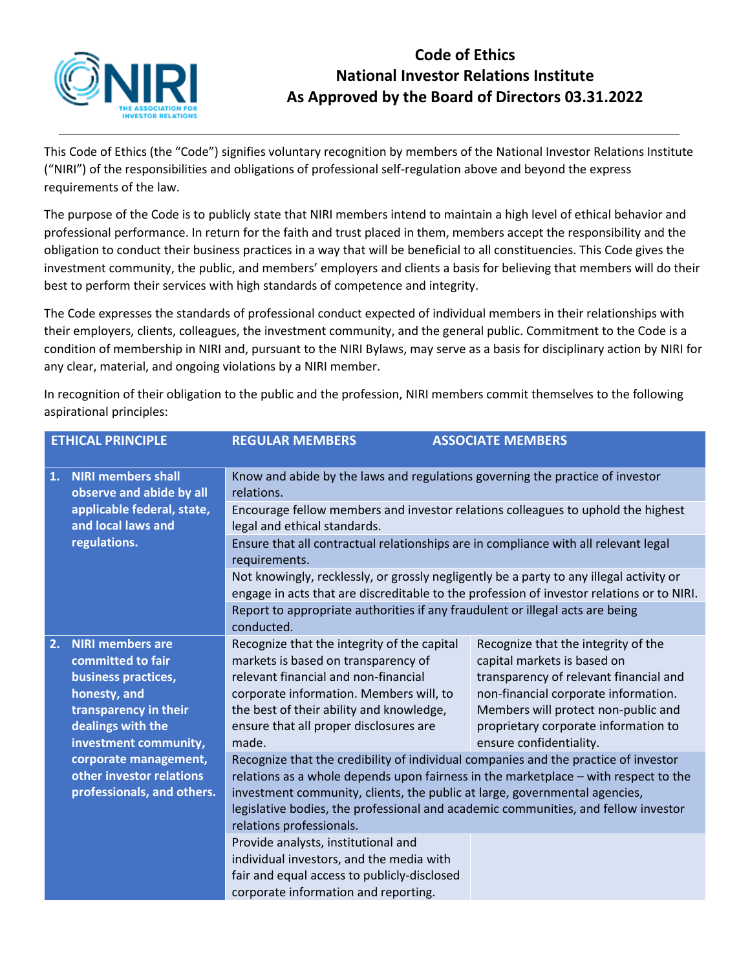

## **Code of Ethics National Investor Relations Institute As Approved by the Board of Directors 03.31.2022**

This Code of Ethics (the "Code") signifies voluntary recognition by members of the National Investor Relations Institute ("NIRI") of the responsibilities and obligations of professional self-regulation above and beyond the express requirements of the law.

The purpose of the Code is to publicly state that NIRI members intend to maintain a high level of ethical behavior and professional performance. In return for the faith and trust placed in them, members accept the responsibility and the obligation to conduct their business practices in a way that will be beneficial to all constituencies. This Code gives the investment community, the public, and members' employers and clients a basis for believing that members will do their best to perform their services with high standards of competence and integrity.

The Code expresses the standards of professional conduct expected of individual members in their relationships with their employers, clients, colleagues, the investment community, and the general public. Commitment to the Code is a condition of membership in NIRI and, pursuant to the NIRI Bylaws, may serve as a basis for disciplinary action by NIRI for any clear, material, and ongoing violations by a NIRI member.

| <b>ETHICAL PRINCIPLE</b> |                                                                                                                                                                                                                                               | <b>REGULAR MEMBERS</b>                                                                                                                                                                                                                                                                                                                                                     | <b>ASSOCIATE MEMBERS</b>                                                                                                                                                                                                                                       |
|--------------------------|-----------------------------------------------------------------------------------------------------------------------------------------------------------------------------------------------------------------------------------------------|----------------------------------------------------------------------------------------------------------------------------------------------------------------------------------------------------------------------------------------------------------------------------------------------------------------------------------------------------------------------------|----------------------------------------------------------------------------------------------------------------------------------------------------------------------------------------------------------------------------------------------------------------|
| 1.                       | <b>NIRI members shall</b><br>observe and abide by all                                                                                                                                                                                         | Know and abide by the laws and regulations governing the practice of investor<br>relations.                                                                                                                                                                                                                                                                                |                                                                                                                                                                                                                                                                |
|                          | applicable federal, state,<br>and local laws and<br>regulations.                                                                                                                                                                              | Encourage fellow members and investor relations colleagues to uphold the highest<br>legal and ethical standards.                                                                                                                                                                                                                                                           |                                                                                                                                                                                                                                                                |
|                          |                                                                                                                                                                                                                                               | Ensure that all contractual relationships are in compliance with all relevant legal<br>requirements.                                                                                                                                                                                                                                                                       |                                                                                                                                                                                                                                                                |
|                          |                                                                                                                                                                                                                                               | Not knowingly, recklessly, or grossly negligently be a party to any illegal activity or<br>engage in acts that are discreditable to the profession of investor relations or to NIRI.                                                                                                                                                                                       |                                                                                                                                                                                                                                                                |
|                          |                                                                                                                                                                                                                                               | Report to appropriate authorities if any fraudulent or illegal acts are being<br>conducted.                                                                                                                                                                                                                                                                                |                                                                                                                                                                                                                                                                |
| 2.                       | <b>NIRI members are</b><br>committed to fair<br>business practices,<br>honesty, and<br>transparency in their<br>dealings with the<br>investment community,<br>corporate management,<br>other investor relations<br>professionals, and others. | Recognize that the integrity of the capital<br>markets is based on transparency of<br>relevant financial and non-financial<br>corporate information. Members will, to<br>the best of their ability and knowledge,<br>ensure that all proper disclosures are<br>made.                                                                                                       | Recognize that the integrity of the<br>capital markets is based on<br>transparency of relevant financial and<br>non-financial corporate information.<br>Members will protect non-public and<br>proprietary corporate information to<br>ensure confidentiality. |
|                          |                                                                                                                                                                                                                                               | Recognize that the credibility of individual companies and the practice of investor<br>relations as a whole depends upon fairness in the marketplace - with respect to the<br>investment community, clients, the public at large, governmental agencies,<br>legislative bodies, the professional and academic communities, and fellow investor<br>relations professionals. |                                                                                                                                                                                                                                                                |
|                          |                                                                                                                                                                                                                                               | Provide analysts, institutional and<br>individual investors, and the media with<br>fair and equal access to publicly-disclosed<br>corporate information and reporting.                                                                                                                                                                                                     |                                                                                                                                                                                                                                                                |

In recognition of their obligation to the public and the profession, NIRI members commit themselves to the following aspirational principles: